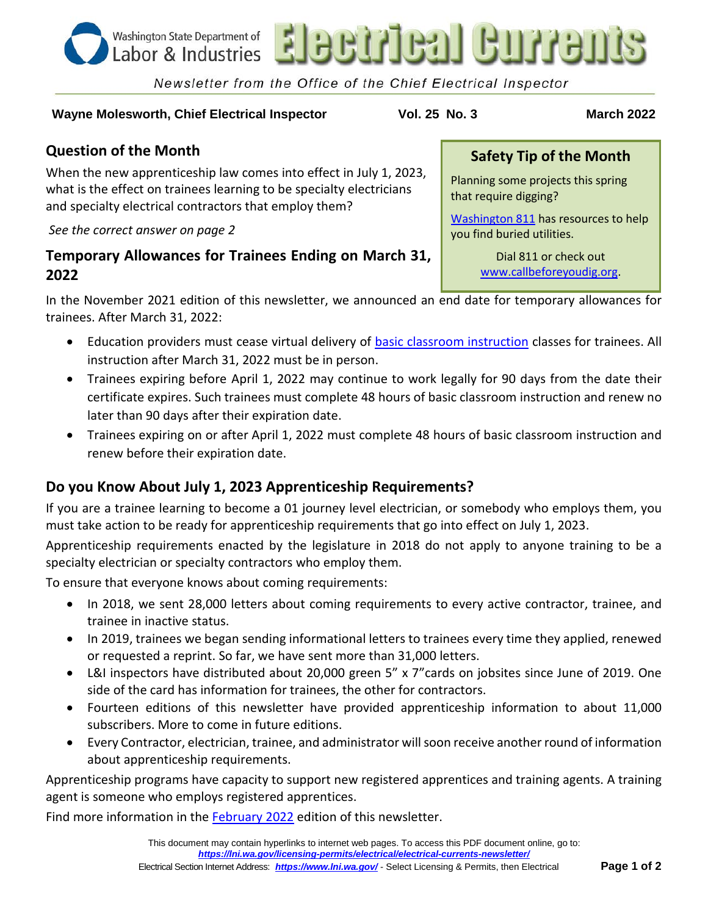

# **Wayne Molesworth, Chief Electrical Inspector Vol. 25 No. 3 March 2022**

Newsletter from the Office of the Chief Electrical Inspector

# **Question of the Month**

When the new apprenticeship law comes into effect in July 1, 2023, what is the effect on trainees learning to be specialty electricians and specialty electrical contractors that employ them?

### *See the correct answer on page 2*

# **Temporary Allowances for Trainees Ending on March 31, 2022**

In the November 2021 edition of this newsletter, we announced an end date for temporary allowances for trainees. After March 31, 2022:

- Education providers must cease virtual delivery of **basic classroom instruction** classes for trainees. All instruction after March 31, 2022 must be in person.
- Trainees expiring before April 1, 2022 may continue to work legally for 90 days from the date their certificate expires. Such trainees must complete 48 hours of basic classroom instruction and renew no later than 90 days after their expiration date.
- Trainees expiring on or after April 1, 2022 must complete 48 hours of basic classroom instruction and renew before their expiration date.

# **Do you Know About July 1, 2023 Apprenticeship Requirements?**

If you are a trainee learning to become a 01 journey level electrician, or somebody who employs them, you must take action to be ready for apprenticeship requirements that go into effect on July 1, 2023.

Apprenticeship requirements enacted by the legislature in 2018 do not apply to anyone training to be a specialty electrician or specialty contractors who employ them.

To ensure that everyone knows about coming requirements:

- In 2018, we sent 28,000 letters about coming requirements to every active contractor, trainee, and trainee in inactive status.
- In 2019, trainees we began sending informational letters to trainees every time they applied, renewed or requested a reprint. So far, we have sent more than 31,000 letters.
- L&I inspectors have distributed about 20,000 green 5" x 7"cards on jobsites since June of 2019. One side of the card has information for trainees, the other for contractors.
- Fourteen editions of this newsletter have provided apprenticeship information to about 11,000 subscribers. More to come in future editions.
- Every Contractor, electrician, trainee, and administrator will soon receive another round of information about apprenticeship requirements.

Apprenticeship programs have capacity to support new registered apprentices and training agents. A training agent is someone who employs registered apprentices.

Find more information in the [February 2022](https://lni.wa.gov/licensing-permits/_docs/Elc2202.pdf) edition of this newsletter.

## **Safety Tip of the Month**

Planning some projects this spring that require digging?

[Washington 811](https://www.washington811.com/) has resources to help you find buried utilities.

> Dial 811 or check out [www.callbeforeyoudig.org.](http://www.callbeforeyoudig.org/)